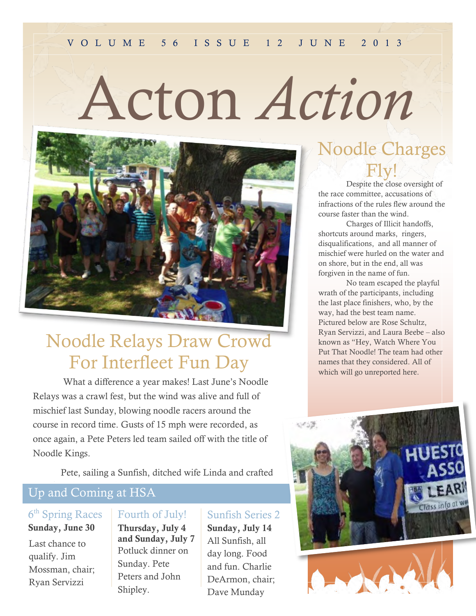# Acton *Action*



## Noodle Relays Draw Crowd For Interfleet Fun Day

What a difference a year makes! Last June's Noodle Relays was a crawl fest, but the wind was alive and full of mischief last Sunday, blowing noodle racers around the course in record time. Gusts of 15 mph were recorded, as once again, a Pete Peters led team sailed off with the title of Noodle Kings.

Pete, sailing a Sunfish, ditched wife Linda and crafted

## Up and Coming at HSA

#### 6<sup>th</sup> Spring Races **Sunday, June 30**

Last chance to qualify. Jim Mossman, chair; Ryan Servizzi

#### Fourth of July!

**Thursday, July 4 and Sunday, July 7** Potluck dinner on Sunday. Pete Peters and John Shipley.

## Sunfish Series 2

**Sunday, July 14** All Sunfish, all day long. Food and fun. Charlie DeArmon, chair; Dave Munday

Fly! Despite the close oversight of the race committee, accusations of infractions of the rules flew around the course faster than the wind.

Noodle Charges

Charges of Illicit handoffs, shortcuts around marks, ringers, disqualifications, and all manner of mischief were hurled on the water and on shore, but in the end, all was forgiven in the name of fun.

No team escaped the playful wrath of the participants, including the last place finishers, who, by the way, had the best team name. Pictured below are Rose Schultz, Ryan Servizzi, and Laura Beebe – also known as "Hey, Watch Where You Put That Noodle! The team had other names that they considered. All of which will go unreported here.

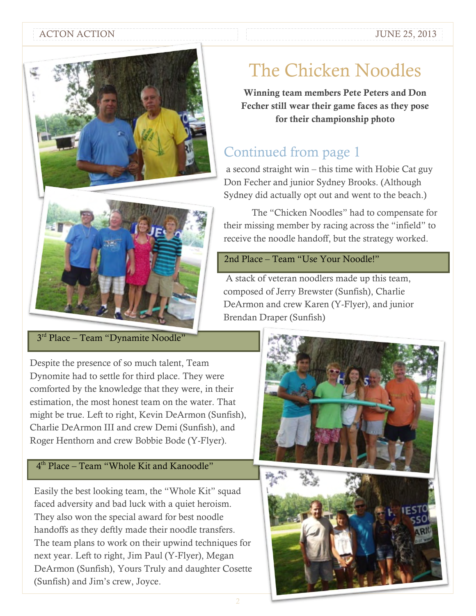#### ACTON ACTION ACTION ACTION



#### 3<sup>rd</sup> Place – Team "Dynamite Noodle"

Despite the presence of so much talent, Team Dynomite had to settle for third place. They were comforted by the knowledge that they were, in their estimation, the most honest team on the water. That might be true. Left to right, Kevin DeArmon (Sunfish), Charlie DeArmon III and crew Demi (Sunfish), and Roger Henthorn and crew Bobbie Bode (Y-Flyer).

#### 4 th Place – Team "Whole Kit and Kanoodle"

Easily the best looking team, the "Whole Kit" squad faced adversity and bad luck with a quiet heroism. They also won the special award for best noodle handoffs as they deftly made their noodle transfers. The team plans to work on their upwind techniques for next year. Left to right, Jim Paul (Y-Flyer), Megan DeArmon (Sunfish), Yours Truly and daughter Cosette (Sunfish) and Jim's crew, Joyce.

## The Chicken Noodles

**Winning team members Pete Peters and Don Fecher still wear their game faces as they pose for their championship photo**

### Continued from page 1

a second straight win – this time with Hobie Cat guy Don Fecher and junior Sydney Brooks. (Although Sydney did actually opt out and went to the beach.)

The "Chicken Noodles" had to compensate for their missing member by racing across the "infield" to receive the noodle handoff, but the strategy worked.

#### 2nd Place – Team "Use Your Noodle!"

A stack of veteran noodlers made up this team, composed of Jerry Brewster (Sunfish), Charlie DeArmon and crew Karen (Y-Flyer), and junior Brendan Draper (Sunfish)

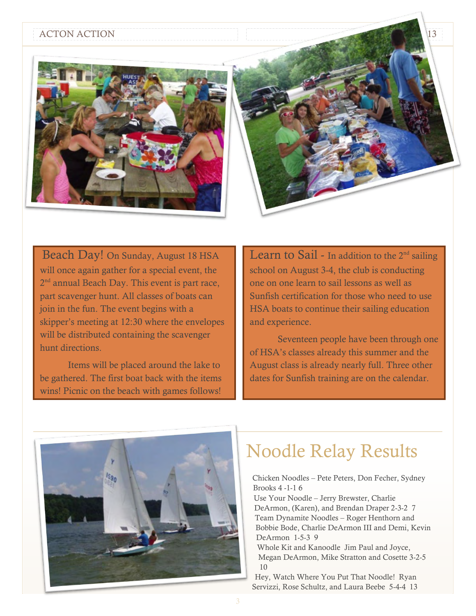#### ACTON ACTION 13



Beach Day! On Sunday, August 18 HSA will once again gather for a special event, the 2<sup>nd</sup> annual Beach Day. This event is part race, part scavenger hunt. All classes of boats can join in the fun. The event begins with a skipper's meeting at 12:30 where the envelopes will be distributed containing the scavenger hunt directions.

Items will be placed around the lake to be gathered. The first boat back with the items wins! Picnic on the beach with games follows!

Learn to Sail - In addition to the  $2<sup>nd</sup>$  sailing school on August 3-4, the club is conducting one on one learn to sail lessons as well as Sunfish certification for those who need to use HSA boats to continue their sailing education and experience.

Seventeen people have been through one of HSA's classes already this summer and the August class is already nearly full. Three other dates for Sunfish training are on the calendar.



## Noodle Relay Results

Chicken Noodles – Pete Peters, Don Fecher, Sydney Brooks 4 -1-1 6 Use Your Noodle – Jerry Brewster, Charlie DeArmon, (Karen), and Brendan Draper 2-3-2 7 Team Dynamite Noodles – Roger Henthorn and Bobbie Bode, Charlie DeArmon III and Demi, Kevin DeArmon 1-5-3 9 Whole Kit and Kanoodle Jim Paul and Joyce, Megan DeArmon, Mike Stratton and Cosette 3-2-5 10

Hey, Watch Where You Put That Noodle! Ryan Servizzi, Rose Schultz, and Laura Beebe 5-4-4 13